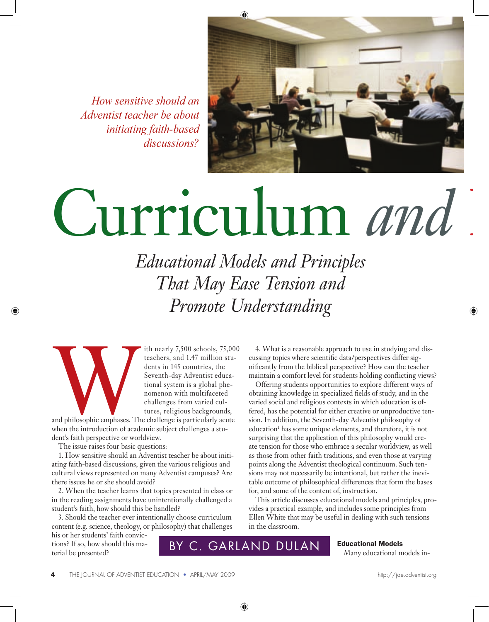*How sensitive should an Adventist teacher be about initiating faith-based discussions?*



# Curriculum *and*

*Educational Models and Principles That May Ease Tension and Promote Understanding*

ith nearly 7,500 schools, 75,000<br>teachers, and 1.47 million stu-<br>dents in 145 countries, the<br>Seventh-day Adventist educa-<br>tional system is a global phe-<br>nomenon with multifaceted<br>challenges from varied cul-<br>tures, religiou teachers, and 1.47 million students in 145 countries, the Seventh-day Adventist educational system is a global phenomenon with multifaceted challenges from varied cultures, religious backgrounds,

and philosophic emphases. The challenge is particularly acute when the introduction of academic subject challenges a student's faith perspective or worldview.

The issue raises four basic questions:

1. How sensitive should an Adventist teacher be about initiating faith-based discussions, given the various religious and cultural views represented on many Adventist campuses? Are there issues he or she should avoid?

2. When the teacher learns that topics presented in class or in the reading assignments have unintentionally challenged a student's faith, how should this be handled?

3. Should the teacher ever intentionally choose curriculum content (e.g. science, theology, or philosophy) that challenges

4. What is a reasonable approach to use in studying and discussing topics where scientific data/perspectives differ significantly from the biblical perspective? How can the teacher maintain a comfort level for students holding conflicting views?

Offering students opportunities to explore different ways of obtaining knowledge in specialized fields of study, and in the varied social and religious contexts in which education is offered, has the potential for either creative or unproductive tension. In addition, the Seventh-day Adventist philosophy of education<sup>1</sup> has some unique elements, and therefore, it is not surprising that the application of this philosophy would create tension for those who embrace a secular worldview, as well as those from other faith traditions, and even those at varying points along the Adventist theological continuum. Such tensions may not necessarily be intentional, but rather the inevitable outcome of philosophical differences that form the bases for, and some of the content of, instruction.

This article discusses educational models and principles, provides a practical example, and includes some principles from Ellen White that may be useful in dealing with such tensions in the classroom.

his or her students' faith convictions? If so, how should this material be presented?

BY C. GARLAND DULAN | Educational Models in-

Educational Models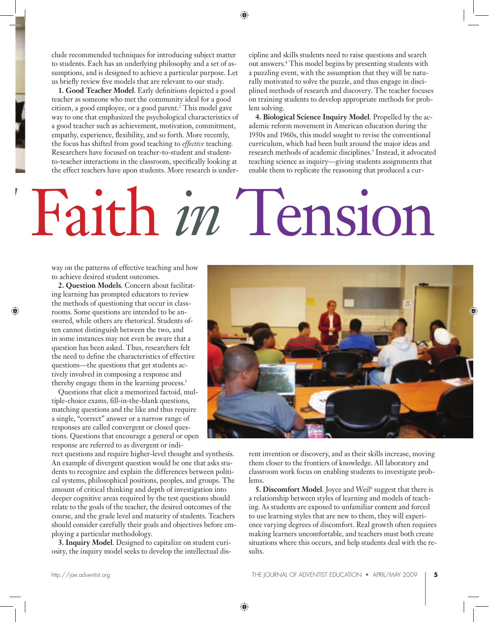clude recommended techniques for introducing subject matter to students. Each has an underlying philosophy and a set of assumptions, and is designed to achieve a particular purpose. Let us briefly review five models that are relevant to our study.

**1. Good Teacher Model**. Early definitions depicted a good teacher as someone who met the community ideal for a good citizen, a good employee, or a good parent.2 This model gave way to one that emphasized the psychological characteristics of a good teacher such as achievement, motivation, commitment, empathy, experience, flexibility, and so forth. More recently, the focus has shifted from good teaching to *effective* teaching. Researchers have focused on teacher-to-student and studentto-teacher interactions in the classroom, specifically looking at the effect teachers have upon students. More research is undercipline and skills students need to raise questions and search out answers.4 This model begins by presenting students with a puzzling event, with the assumption that they will be naturally motivated to solve the puzzle, and thus engage in disciplined methods of research and discovery. The teacher focuses on training students to develop appropriate methods for problem solving.

**4. Biological Science Inquiry Model**. Propelled by the academic reform movement in American education during the 1950s and 1960s, this model sought to revise the conventional curriculum, which had been built around the major ideas and research methods of academic disciplines.<sup>5</sup> Instead, it advocated teaching science as inquiry—giving students assignments that enable them to replicate the reasoning that produced a cur-

# *d* Faith *in* Tension

way on the patterns of effective teaching and how to achieve desired student outcomes.

**2. Question Models**. Concern about facilitating learning has prompted educators to review the methods of questioning that occur in classrooms. Some questions are intended to be answered, while others are rhetorical. Students often cannot distinguish between the two, and in some instances may not even be aware that a question has been asked. Thus, researchers felt the need to define the characteristics of effective questions—the questions that get students actively involved in composing a response and thereby engage them in the learning process.<sup>3</sup>

Questions that elicit a memorized factoid, multiple-choice exams, fill-in-the-blank questions, matching questions and the like and thus require a single, "correct" answer or a narrow range of responses are called convergent or closed questions. Questions that encourage a general or open response are referred to as divergent or indi-

rect questions and require higher-level thought and synthesis. An example of divergent question would be one that asks students to recognize and explain the differences between political systems, philosophical positions, peoples, and groups. The amount of critical thinking and depth of investigation into deeper cognitive areas required by the test questions should relate to the goals of the teacher, the desired outcomes of the course, and the grade level and maturity of students. Teachers should consider carefully their goals and objectives before employing a particular methodology.

**3. Inquiry Model**. Designed to capitalize on student curiosity, the inquiry model seeks to develop the intellectual dis-



rent invention or discovery, and as their skills increase, moving them closer to the frontiers of knowledge. All laboratory and classroom work focus on enabling students to investigate problems.

**5. Discomfort Model**. Joyce and Weil<sup>6</sup> suggest that there is a relationship between styles of learning and models of teaching. As students are exposed to unfamiliar content and forced to use learning styles that are new to them, they will experience varying degrees of discomfort. Real growth often requires making learners uncomfortable, and teachers must both create situations where this occurs, and help students deal with the results.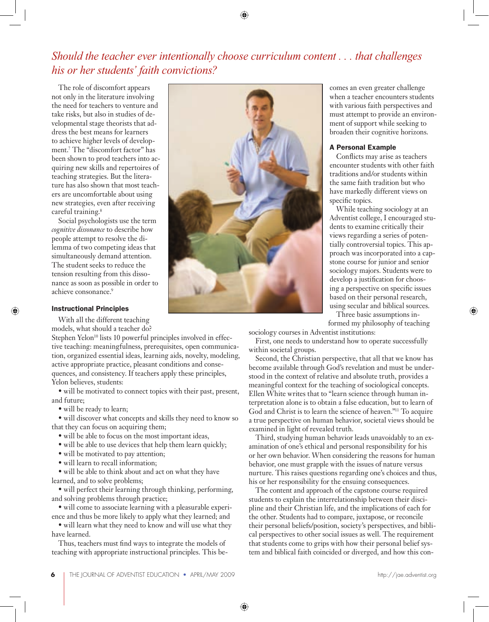# *Should the teacher ever intentionally choose curriculum content . . . that challenges his or her students' faith convictions?*

The role of discomfort appears not only in the literature involving the need for teachers to venture and take risks, but also in studies of developmental stage theorists that address the best means for learners to achieve higher levels of development.7 The "discomfort factor" has been shown to prod teachers into acquiring new skills and repertoires of teaching strategies. But the literature has also shown that most teachers are uncomfortable about using new strategies, even after receiving careful training.<sup>8</sup>

Social psychologists use the term *cognitive dissonance* to describe how people attempt to resolve the dilemma of two competing ideas that simultaneously demand attention. The student seeks to reduce the tension resulting from this dissonance as soon as possible in order to achieve consonance.<sup>9</sup>

### Instructional Principles

With all the different teaching models, what should a teacher do?

Stephen Yelon<sup>10</sup> lists 10 powerful principles involved in effective teaching: meaningfulness, prerequisites, open communication, organized essential ideas, learning aids, novelty, modeling, active appropriate practice, pleasant conditions and consequences, and consistency. If teachers apply these principles, Yelon believes, students:

 $\bullet$  will be motivated to connect topics with their past, present, and future;

• will be ready to learn;

• will discover what concepts and skills they need to know so that they can focus on acquiring them;

- will be able to focus on the most important ideas,
- will be able to use devices that help them learn quickly;
- will be motivated to pay attention;
- will learn to recall information;

• will be able to think about and act on what they have learned, and to solve problems;

• will perfect their learning through thinking, performing, and solving problems through practice;

 $\bullet$  will come to associate learning with a pleasurable experience and thus be more likely to apply what they learned; and

• will learn what they need to know and will use what they have learned.

Thus, teachers must find ways to integrate the models of teaching with appropriate instructional principles. This be-



comes an even greater challenge when a teacher encounters students with various faith perspectives and must attempt to provide an environment of support while seeking to broaden their cognitive horizons.

#### A Personal Example

Conflicts may arise as teachers encounter students with other faith traditions and/or students within the same faith tradition but who have markedly different views on specific topics.

While teaching sociology at an Adventist college, I encouraged students to examine critically their views regarding a series of potentially controversial topics. This approach was incorporated into a capstone course for junior and senior sociology majors. Students were to develop a justification for choosing a perspective on specific issues based on their personal research, using secular and biblical sources.

Three basic assumptions informed my philosophy of teaching

sociology courses in Adventist institutions: First, one needs to understand how to operate successfully within societal groups.

Second, the Christian perspective, that all that we know has become available through God's revelation and must be understood in the context of relative and absolute truth, provides a meaningful context for the teaching of sociological concepts. Ellen White writes that to "learn science through human interpretation alone is to obtain a false education, but to learn of God and Christ is to learn the science of heaven."11 To acquire a true perspective on human behavior, societal views should be examined in light of revealed truth.

Third, studying human behavior leads unavoidably to an examination of one's ethical and personal responsibility for his or her own behavior. When considering the reasons for human behavior, one must grapple with the issues of nature versus nurture. This raises questions regarding one's choices and thus, his or her responsibility for the ensuing consequences.

The content and approach of the capstone course required students to explain the interrelationship between their discipline and their Christian life, and the implications of each for the other. Students had to compare, juxtapose, or reconcile their personal beliefs/position, society's perspectives, and biblical perspectives to other social issues as well. The requirement that students come to grips with how their personal belief system and biblical faith coincided or diverged, and how this con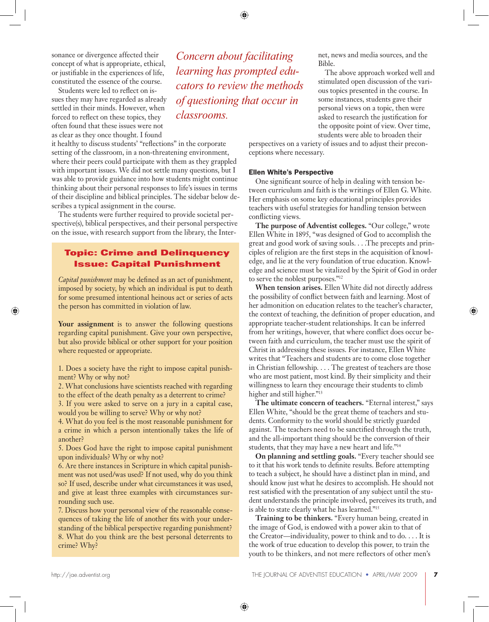sonance or divergence affected their concept of what is appropriate, ethical, or justifiable in the experiences of life, constituted the essence of the course.

Students were led to reflect on issues they may have regarded as already settled in their minds. However, when forced to reflect on these topics, they often found that these issues were not as clear as they once thought. I found

it healthy to discuss students' "reflections" in the corporate setting of the classroom, in a non-threatening environment, where their peers could participate with them as they grappled with important issues. We did not settle many questions, but I was able to provide guidance into how students might continue thinking about their personal responses to life's issues in terms of their discipline and biblical principles. The sidebar below describes a typical assignment in the course.

The students were further required to provide societal perspective(s), biblical perspectives, and their personal perspective on the issue, with research support from the library, the Inter-

# **Topic: Crime and Delinquency Issue: Capital Punishment**

*Capital punishment* may be defined as an act of punishment, imposed by society, by which an individual is put to death for some presumed intentional heinous act or series of acts the person has committed in violation of law.

**Your assignment** is to answer the following questions regarding capital punishment. Give your own perspective, but also provide biblical or other support for your position where requested or appropriate.

1. Does a society have the right to impose capital punishment? Why or why not?

2. What conclusions have scientists reached with regarding to the effect of the death penalty as a deterrent to crime?

3. If you were asked to serve on a jury in a capital case, would you be willing to serve? Why or why not?

4. What do you feel is the most reasonable punishment for a crime in which a person intentionally takes the life of another?

5. Does God have the right to impose capital punishment upon individuals? Why or why not?

6. Are there instances in Scripture in which capital punishment was not used/was used? If not used, why do you think so? If used, describe under what circumstances it was used, and give at least three examples with circumstances surrounding such use.

7. Discuss how your personal view of the reasonable consequences of taking the life of another fits with your understanding of the biblical perspective regarding punishment? 8. What do you think are the best personal deterrents to crime? Why?

*Concern about facilitating learning has prompted educators to review the methods of questioning that occur in classrooms.*

net, news and media sources, and the Bible.

The above approach worked well and stimulated open discussion of the various topics presented in the course. In some instances, students gave their personal views on a topic, then were asked to research the justification for the opposite point of view. Over time, students were able to broaden their

perspectives on a variety of issues and to adjust their preconceptions where necessary.

### Ellen White's Perspective

One significant source of help in dealing with tension between curriculum and faith is the writings of Ellen G. White. Her emphasis on some key educational principles provides teachers with useful strategies for handling tension between conflicting views.

**The purpose of Adventist colleges.** "Our college," wrote Ellen White in 1895, "was designed of God to accomplish the great and good work of saving souls. . . .The precepts and principles of religion are the first steps in the acquisition of knowledge, and lie at the very foundation of true education. Knowledge and science must be vitalized by the Spirit of God in order to serve the noblest purposes."12

**When tension arises.** Ellen White did not directly address the possibility of conflict between faith and learning. Most of her admonition on education relates to the teacher's character, the context of teaching, the definition of proper education, and appropriate teacher-student relationships. It can be inferred from her writings, however, that where conflict does occur between faith and curriculum, the teacher must use the spirit of Christ in addressing these issues. For instance, Ellen White writes that "Teachers and students are to come close together in Christian fellowship. . . . The greatest of teachers are those who are most patient, most kind. By their simplicity and their willingness to learn they encourage their students to climb higher and still higher."13

**The ultimate concern of teachers.** "Eternal interest," says Ellen White, "should be the great theme of teachers and students. Conformity to the world should be strictly guarded against. The teachers need to be sanctified through the truth, and the all-important thing should be the conversion of their students, that they may have a new heart and life."14

**On planning and settling goals.** "Every teacher should see to it that his work tends to definite results. Before attempting to teach a subject, he should have a distinct plan in mind, and should know just what he desires to accomplish. He should not rest satisfied with the presentation of any subject until the student understands the principle involved, perceives its truth, and is able to state clearly what he has learned."15

**Training to be thinkers.** "Every human being, created in the image of God, is endowed with a power akin to that of the Creator—individuality, power to think and to do. . . . It is the work of true education to develop this power, to train the youth to be thinkers, and not mere reflectors of other men's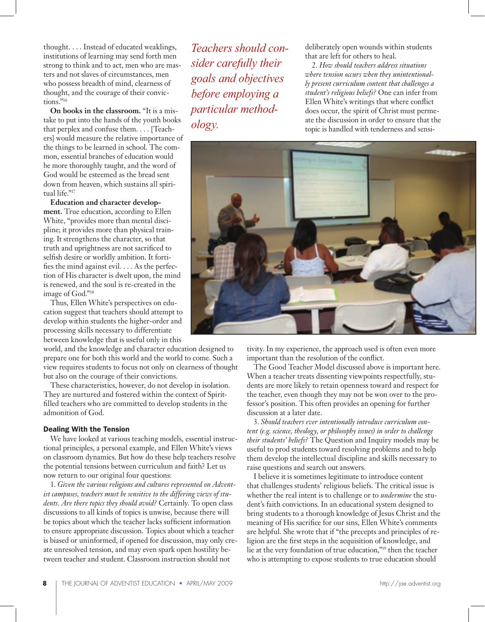thought. . . . Instead of educated weaklings, institutions of learning may send forth men strong to think and to act, men who are masters and not slaves of circumstances, men who possess breadth of mind, clearness of thought, and the courage of their convictions<sup>"16</sup>

**On books in the classroom.** "It is a mistake to put into the hands of the youth books that perplex and confuse them. . . . [Teachers] would measure the relative importance of the things to be learned in school. The common, essential branches of education would be more thoroughly taught, and the word of God would be esteemed as the bread sent down from heaven, which sustains all spiritual life."17

**Education and character development.** True education, according to Ellen White, "provides more than mental discipline; it provides more than physical training. It strengthens the character, so that truth and uprightness are not sacrificed to selfish desire or worldly ambition. It fortifies the mind against evil.  $\dots$  As the perfection of His character is dwelt upon, the mind is renewed, and the soul is re-created in the image of God."18

Thus, Ellen White's perspectives on education suggest that teachers should attempt to develop within students the higher-order and processing skills necessary to differentiate between knowledge that is useful only in this

world, and the knowledge and character education designed to prepare one for both this world and the world to come. Such a view requires students to focus not only on clearness of thought but also on the courage of their convictions.

These characteristics, however, do not develop in isolation. They are nurtured and fostered within the context of Spiritfilled teachers who are committed to develop students in the admonition of God.

## Dealing With the Tension

We have looked at various teaching models, essential instructional principles, a personal example, and Ellen White's views on classroom dynamics. But how do these help teachers resolve the potential tensions between curriculum and faith? Let us now return to our original four questions:

1. *Given the various religions and cultures represented on Adventist campuses, teachers must be sensitive to the differing views of students. Are there topics they should avoid?* Certainly. To open class discussions to all kinds of topics is unwise, because there will be topics about which the teacher lacks sufficient information to ensure appropriate discussion. Topics about which a teacher is biased or uninformed, if opened for discussion, may only create unresolved tension, and may even spark open hostility between teacher and student. Classroom instruction should not

*Teachers should consider carefully their goals and objectives before employing a particular methodology.*

deliberately open wounds within students that are left for others to heal.

2. *How should teachers address situations where tension occurs when they unintentionally present curriculum content that challenges a student's religious beliefs?* One can infer from Ellen White's writings that where conflict does occur, the spirit of Christ must permeate the discussion in order to ensure that the topic is handled with tenderness and sensi-



tivity. In my experience, the approach used is often even more important than the resolution of the conflict.

The Good Teacher Model discussed above is important here. When a teacher treats dissenting viewpoints respectfully, students are more likely to retain openness toward and respect for the teacher, even though they may not be won over to the professor's position. This often provides an opening for further discussion at a later date.

3. *Should teachers ever intentionally introduce curriculum content (e.g. science, theology, or philosophy issues) in order to challenge their students' beliefs?* The Question and Inquiry models may be useful to prod students toward resolving problems and to help them develop the intellectual discipline and skills necessary to raise questions and search out answers.

I believe it is sometimes legitimate to introduce content that challenges students' religious beliefs. The critical issue is whether the real intent is to challenge or to *undermine* the student's faith convictions. In an educational system designed to bring students to a thorough knowledge of Jesus Christ and the meaning of His sacrifice for our sins, Ellen White's comments are helpful. She wrote that if "the precepts and principles of religion are the first steps in the acquisition of knowledge, and lie at the very foundation of true education,"19 then the teacher who is attempting to expose students to true education should